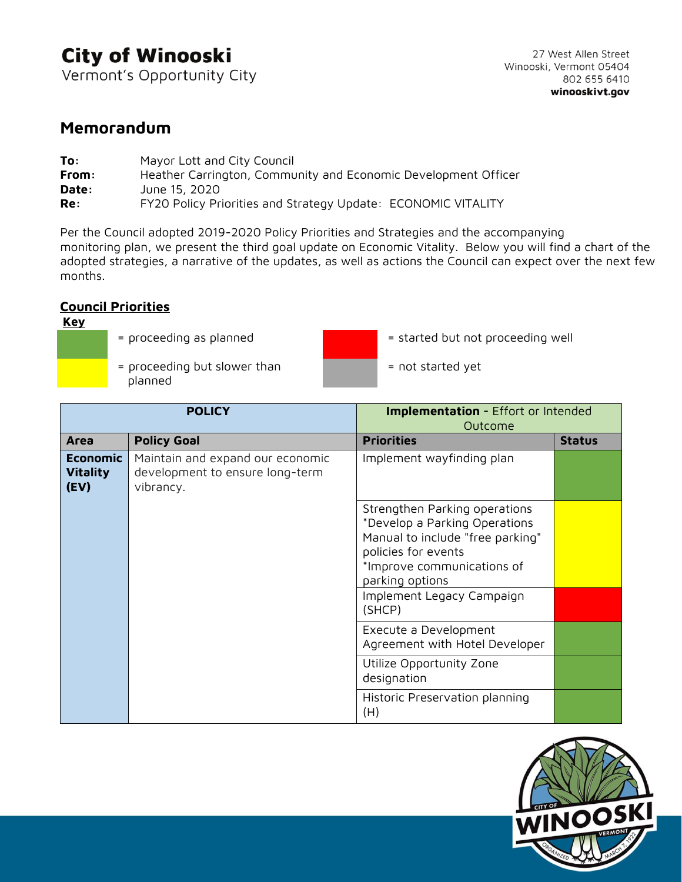## **City of Winooski**

Vermont's Opportunity City

### **Memorandum**

| To:   | Mayor Lott and City Council                                    |
|-------|----------------------------------------------------------------|
| From: | Heather Carrington, Community and Economic Development Officer |
| Date: | June 15, 2020                                                  |
| Re:   | FY20 Policy Priorities and Strategy Update: ECONOMIC VITALITY  |

Per the Council adopted 2019-2020 Policy Priorities and Strategies and the accompanying monitoring plan, we present the third goal update on Economic Vitality. Below you will find a chart of the adopted strategies, a narrative of the updates, as well as actions the Council can expect over the next few months.

#### **Council Priorities**

#### **Key**

- 
- = proceeding but slower than planned



- = proceeding as planned  $\frac{1}{2}$  = started but not proceeding well
	- = not started yet

| <b>POLICY</b>                              |                                                                                  | <b>Implementation - Effort or Intended</b><br>Outcome                                                                                                                      |               |
|--------------------------------------------|----------------------------------------------------------------------------------|----------------------------------------------------------------------------------------------------------------------------------------------------------------------------|---------------|
| Area                                       | <b>Policy Goal</b>                                                               | <b>Priorities</b>                                                                                                                                                          | <b>Status</b> |
| <b>Economic</b><br><b>Vitality</b><br>(EV) | Maintain and expand our economic<br>development to ensure long-term<br>vibrancy. | Implement wayfinding plan                                                                                                                                                  |               |
|                                            |                                                                                  | Strengthen Parking operations<br>*Develop a Parking Operations<br>Manual to include "free parking"<br>policies for events<br>*Improve communications of<br>parking options |               |
|                                            |                                                                                  | Implement Legacy Campaign<br>(SHCP)                                                                                                                                        |               |
|                                            |                                                                                  | Execute a Development<br>Agreement with Hotel Developer                                                                                                                    |               |
|                                            |                                                                                  | Utilize Opportunity Zone<br>designation                                                                                                                                    |               |
|                                            |                                                                                  | Historic Preservation planning<br>(H)                                                                                                                                      |               |

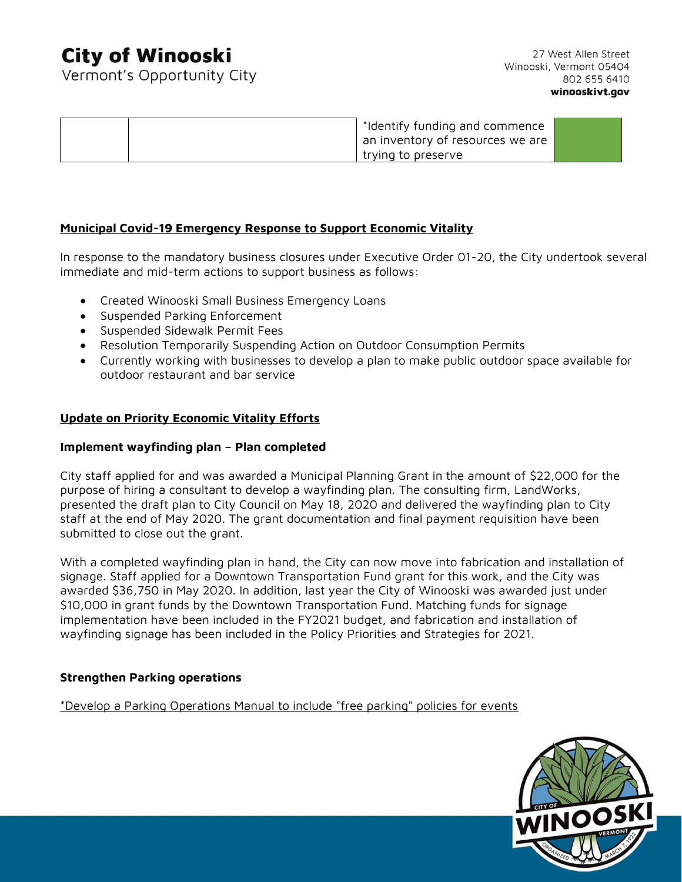### **City of Winooski**

Vermont's Opportunity City

27 West Allen Street Winooski, Vermont 05404 802 655 6410 winooskivt.gov

| *Identify funding and commence   |  |
|----------------------------------|--|
| an inventory of resources we are |  |
| trying to preserve               |  |

#### **Municipal Covid-19 Emergency Response to Support Economic Vitality**

In response to the mandatory business closures under Executive Order 01-20, the City undertook several immediate and mid-term actions to support business as follows:

- Created Winooski Small Business Emergency Loans
- Suspended Parking Enforcement
- Suspended Sidewalk Permit Fees
- Resolution Temporarily Suspending Action on Outdoor Consumption Permits
- Currently working with businesses to develop a plan to make public outdoor space available for outdoor restaurant and bar service

#### **Update on Priority Economic Vitality Efforts**

#### **Implement wayfinding plan – Plan completed**

City staff applied for and was awarded a Municipal Planning Grant in the amount of \$22,000 for the purpose of hiring a consultant to develop a wayfinding plan. The consulting firm, LandWorks, presented the draft plan to City Council on May 18, 2020 and delivered the wayfinding plan to City staff at the end of May 2020. The grant documentation and final payment requisition have been submitted to close out the grant.

With a completed wayfinding plan in hand, the City can now move into fabrication and installation of signage. Staff applied for a Downtown Transportation Fund grant for this work, and the City was awarded \$36,750 in May 2020. In addition, last year the City of Winooski was awarded just under \$10,000 in grant funds by the Downtown Transportation Fund. Matching funds for signage implementation have been included in the FY2021 budget, and fabrication and installation of wayfinding signage has been included in the Policy Priorities and Strategies for 2021.

#### **Strengthen Parking operations**

\*Develop a Parking Operations Manual to include "free parking" policies for events

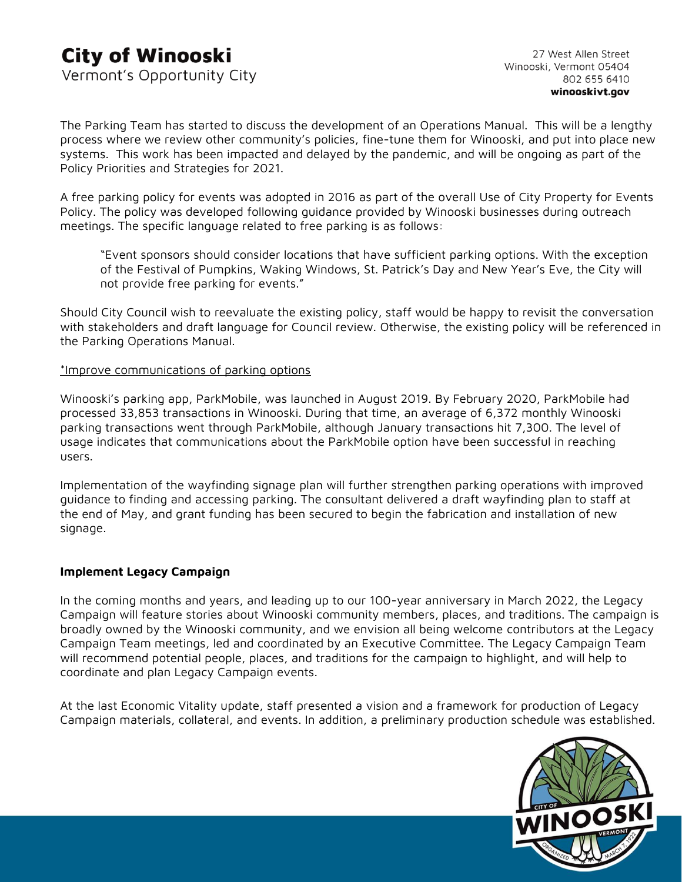The Parking Team has started to discuss the development of an Operations Manual. This will be a lengthy process where we review other community's policies, fine-tune them for Winooski, and put into place new systems. This work has been impacted and delayed by the pandemic, and will be ongoing as part of the Policy Priorities and Strategies for 2021.

A free parking policy for events was adopted in 2016 as part of the overall Use of City Property for Events Policy. The policy was developed following guidance provided by Winooski businesses during outreach meetings. The specific language related to free parking is as follows:

"Event sponsors should consider locations that have sufficient parking options. With the exception of the Festival of Pumpkins, Waking Windows, St. Patrick's Day and New Year's Eve, the City will not provide free parking for events."

Should City Council wish to reevaluate the existing policy, staff would be happy to revisit the conversation with stakeholders and draft language for Council review. Otherwise, the existing policy will be referenced in the Parking Operations Manual.

#### \*Improve communications of parking options

Winooski's parking app, ParkMobile, was launched in August 2019. By February 2020, ParkMobile had processed 33,853 transactions in Winooski. During that time, an average of 6,372 monthly Winooski parking transactions went through ParkMobile, although January transactions hit 7,300. The level of usage indicates that communications about the ParkMobile option have been successful in reaching users.

Implementation of the wayfinding signage plan will further strengthen parking operations with improved guidance to finding and accessing parking. The consultant delivered a draft wayfinding plan to staff at the end of May, and grant funding has been secured to begin the fabrication and installation of new signage.

#### **Implement Legacy Campaign**

In the coming months and years, and leading up to our 100-year anniversary in March 2022, the Legacy Campaign will feature stories about Winooski community members, places, and traditions. The campaign is broadly owned by the Winooski community, and we envision all being welcome contributors at the Legacy Campaign Team meetings, led and coordinated by an Executive Committee. The Legacy Campaign Team will recommend potential people, places, and traditions for the campaign to highlight, and will help to coordinate and plan Legacy Campaign events.

At the last Economic Vitality update, staff presented a vision and a framework for production of Legacy Campaign materials, collateral, and events. In addition, a preliminary production schedule was established.

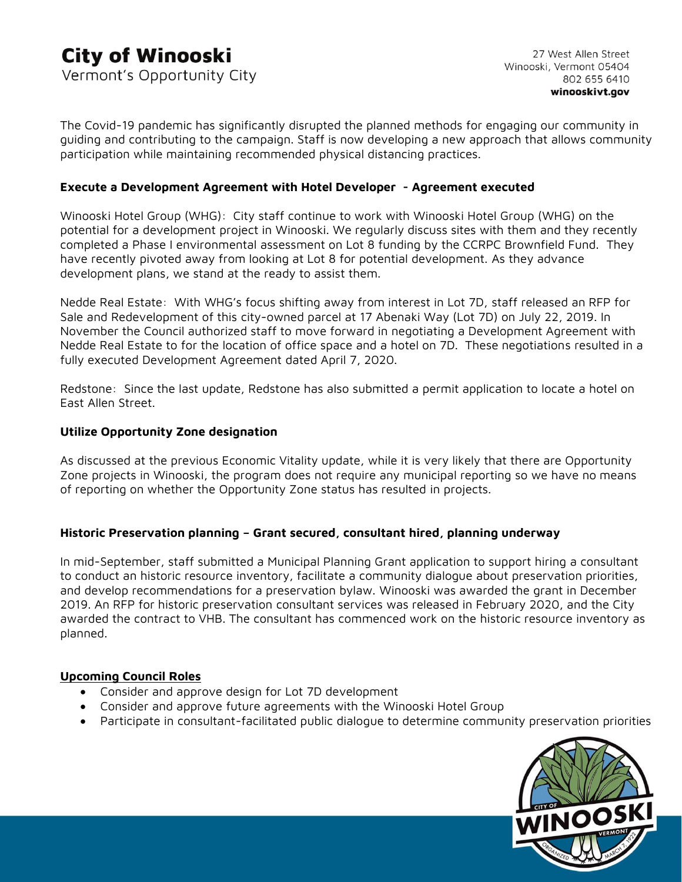The Covid-19 pandemic has significantly disrupted the planned methods for engaging our community in guiding and contributing to the campaign. Staff is now developing a new approach that allows community participation while maintaining recommended physical distancing practices.

#### **Execute a Development Agreement with Hotel Developer - Agreement executed**

Winooski Hotel Group (WHG):City staff continue to work with Winooski Hotel Group (WHG) on the potential for a development project in Winooski. We regularly discuss sites with them and they recently completed a Phase I environmental assessment on Lot 8 funding by the CCRPC Brownfield Fund. They have recently pivoted away from looking at Lot 8 for potential development. As they advance development plans, we stand at the ready to assist them.

Nedde Real Estate: With WHG's focus shifting away from interest in Lot 7D, staff released an RFP for Sale and Redevelopment of this city-owned parcel at 17 Abenaki Way (Lot 7D) on July 22, 2019. In November the Council authorized staff to move forward in negotiating a Development Agreement with Nedde Real Estate to for the location of office space and a hotel on 7D. These negotiations resulted in a fully executed Development Agreement dated April 7, 2020.

Redstone: Since the last update, Redstone has also submitted a permit application to locate a hotel on East Allen Street.

#### **Utilize Opportunity Zone designation**

As discussed at the previous Economic Vitality update, while it is very likely that there are Opportunity Zone projects in Winooski, the program does not require any municipal reporting so we have no means of reporting on whether the Opportunity Zone status has resulted in projects.

#### **Historic Preservation planning – Grant secured, consultant hired, planning underway**

In mid-September, staff submitted a Municipal Planning Grant application to support hiring a consultant to conduct an historic resource inventory, facilitate a community dialogue about preservation priorities, and develop recommendations for a preservation bylaw. Winooski was awarded the grant in December 2019. An RFP for historic preservation consultant services was released in February 2020, and the City awarded the contract to VHB. The consultant has commenced work on the historic resource inventory as planned.

#### **Upcoming Council Roles**

- Consider and approve design for Lot 7D development
- Consider and approve future agreements with the Winooski Hotel Group
- Participate in consultant-facilitated public dialogue to determine community preservation priorities